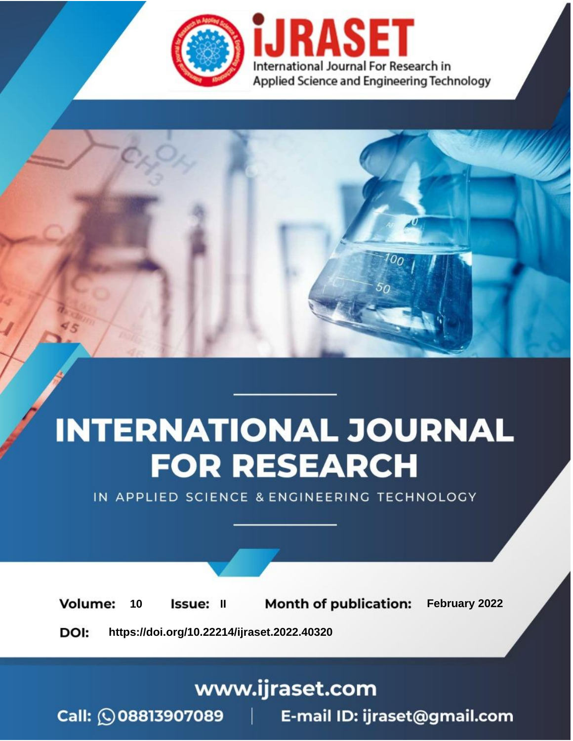

# **INTERNATIONAL JOURNAL FOR RESEARCH**

IN APPLIED SCIENCE & ENGINEERING TECHNOLOGY

**Month of publication:** February 2022 **Volume:** 10 **Issue: II** DOI: https://doi.org/10.22214/ijraset.2022.40320

www.ijraset.com

 $Call: \bigcirc$ 08813907089 E-mail ID: ijraset@gmail.com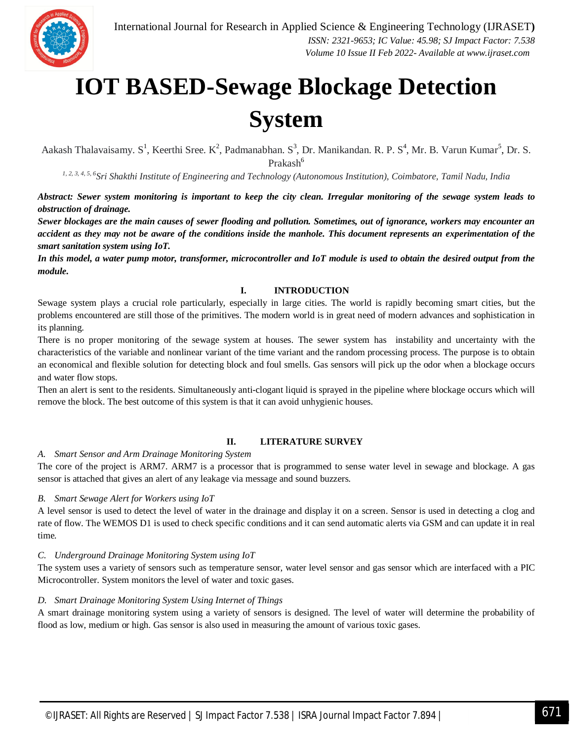

### **IOT BASED-Sewage Blockage Detection System**

Aakash Thalavaisamy. S<sup>1</sup>, Keerthi Sree. K<sup>2</sup>, Padmanabhan. S<sup>3</sup>, Dr. Manikandan. R. P. S<sup>4</sup>, Mr. B. Varun Kumar<sup>5</sup>, Dr. S. Prakash<sup>6</sup>

*1, 2, 3, 4, 5, 6Sri Shakthi Institute of Engineering and Technology (Autonomous Institution), Coimbatore, Tamil Nadu, India*

*Abstract: Sewer system monitoring is important to keep the city clean. Irregular monitoring of the sewage system leads to obstruction of drainage.* 

*Sewer blockages are the main causes of sewer flooding and pollution. Sometimes, out of ignorance, workers may encounter an accident as they may not be aware of the conditions inside the manhole. This document represents an experimentation of the smart sanitation system using IoT.* 

*In this model, a water pump motor, transformer, microcontroller and IoT module is used to obtain the desired output from the module.*

#### **I. INTRODUCTION**

Sewage system plays a crucial role particularly, especially in large cities. The world is rapidly becoming smart cities, but the problems encountered are still those of the primitives. The modern world is in great need of modern advances and sophistication in its planning.

There is no proper monitoring of the sewage system at houses. The sewer system has instability and uncertainty with the characteristics of the variable and nonlinear variant of the time variant and the random processing process. The purpose is to obtain an economical and flexible solution for detecting block and foul smells. Gas sensors will pick up the odor when a blockage occurs and water flow stops.

Then an alert is sent to the residents. Simultaneously anti-clogant liquid is sprayed in the pipeline where blockage occurs which will remove the block. The best outcome of this system is that it can avoid unhygienic houses.

#### **II. LITERATURE SURVEY**

*A. Smart Sensor and Arm Drainage Monitoring System* 

The core of the project is ARM7. ARM7 is a processor that is programmed to sense water level in sewage and blockage. A gas sensor is attached that gives an alert of any leakage via message and sound buzzers.

#### *B. Smart Sewage Alert for Workers using IoT*

A level sensor is used to detect the level of water in the drainage and display it on a screen. Sensor is used in detecting a clog and rate of flow. The WEMOS D1 is used to check specific conditions and it can send automatic alerts via GSM and can update it in real time.

#### *C. Underground Drainage Monitoring System using IoT*

The system uses a variety of sensors such as temperature sensor, water level sensor and gas sensor which are interfaced with a PIC Microcontroller. System monitors the level of water and toxic gases.

#### *D. Smart Drainage Monitoring System Using Internet of Things*

A smart drainage monitoring system using a variety of sensors is designed. The level of water will determine the probability of flood as low, medium or high. Gas sensor is also used in measuring the amount of various toxic gases.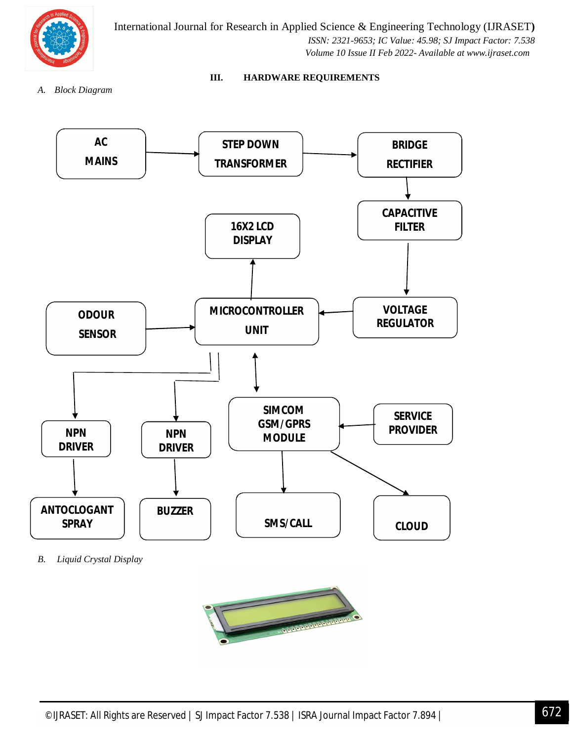

International Journal for Research in Applied Science & Engineering Technology (IJRASET**)**  *ISSN: 2321-9653; IC Value: 45.98; SJ Impact Factor: 7.538 Volume 10 Issue II Feb 2022- Available at www.ijraset.com*

*A. Block Diagram*

#### **III. HARDWARE REQUIREMENTS**



*B. Liquid Crystal Display*

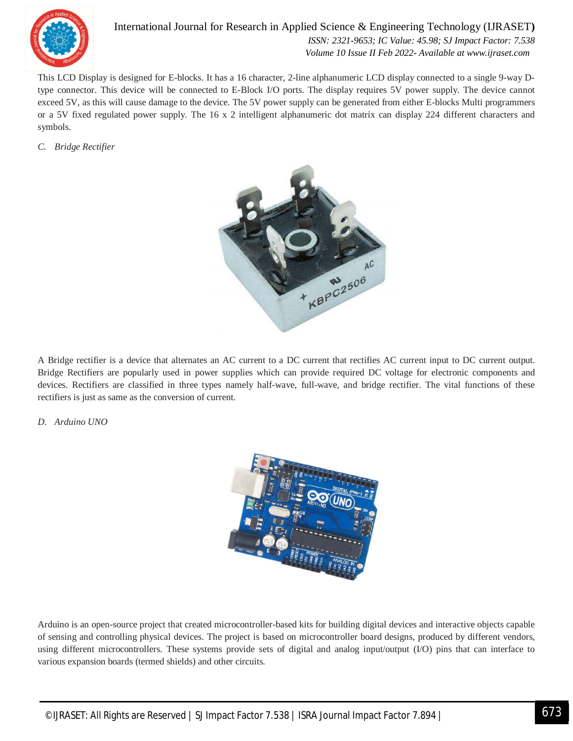

International Journal for Research in Applied Science & Engineering Technology (IJRASET**)**  *ISSN: 2321-9653; IC Value: 45.98; SJ Impact Factor: 7.538 Volume 10 Issue II Feb 2022- Available at www.ijraset.com*

This LCD Display is designed for E-blocks. It has a 16 character, 2-line alphanumeric LCD display connected to a single 9-way Dtype connector. This device will be connected to E-Block I/O ports. The display requires 5V power supply. The device cannot exceed 5V, as this will cause damage to the device. The 5V power supply can be generated from either E-blocks Multi programmers or a 5V fixed regulated power supply. The 16 x 2 intelligent alphanumeric dot matrix can display 224 different characters and symbols.

*C. Bridge Rectifier*



A Bridge rectifier is a device that alternates an AC current to a DC current that rectifies AC current input to DC current output. Bridge Rectifiers are popularly used in power supplies which can provide required DC voltage for electronic components and devices. Rectifiers are classified in three types namely half-wave, full-wave, and bridge rectifier. The vital functions of these rectifiers is just as same as the conversion of current.

*D. Arduino UNO*



Arduino is an open-source project that created microcontroller-based kits for building digital devices and interactive objects capable of sensing and controlling physical devices. The project is based on microcontroller board designs, produced by different vendors, using different microcontrollers. These systems provide sets of digital and analog input/output (I/O) pins that can interface to various expansion boards (termed shields) and other circuits.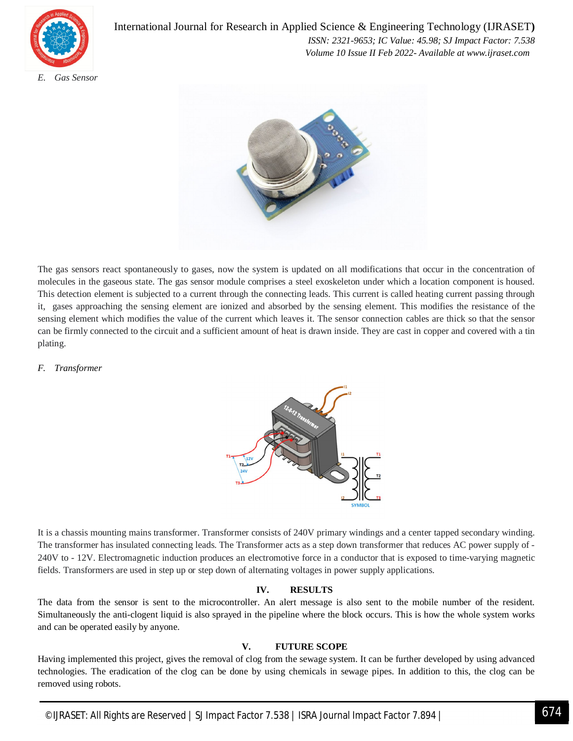

International Journal for Research in Applied Science & Engineering Technology (IJRASET**)**  *ISSN: 2321-9653; IC Value: 45.98; SJ Impact Factor: 7.538 Volume 10 Issue II Feb 2022- Available at www.ijraset.com*



The gas sensors react spontaneously to gases, now the system is updated on all modifications that occur in the concentration of molecules in the gaseous state. The gas sensor module comprises a steel exoskeleton under which a location component is housed. This detection element is subjected to a current through the connecting leads. This current is called heating current passing through it, gases approaching the sensing element are ionized and absorbed by the sensing element. This modifies the resistance of the sensing element which modifies the value of the current which leaves it. The sensor connection cables are thick so that the sensor can be firmly connected to the circuit and a sufficient amount of heat is drawn inside. They are cast in copper and covered with a tin plating.

#### *F. Transformer*



It is a chassis mounting mains transformer. Transformer consists of 240V primary windings and a center tapped secondary winding. The transformer has insulated connecting leads. The Transformer acts as a step down transformer that reduces AC power supply of - 240V to - 12V. Electromagnetic induction produces an electromotive force in a conductor that is exposed to time-varying magnetic fields. Transformers are used in step up or step down of alternating voltages in power supply applications.

#### **IV. RESULTS**

The data from the sensor is sent to the microcontroller. An alert message is also sent to the mobile number of the resident. Simultaneously the anti-clogent liquid is also sprayed in the pipeline where the block occurs. This is how the whole system works and can be operated easily by anyone.

#### **V. FUTURE SCOPE**

Having implemented this project, gives the removal of clog from the sewage system. It can be further developed by using advanced technologies. The eradication of the clog can be done by using chemicals in sewage pipes. In addition to this, the clog can be removed using robots.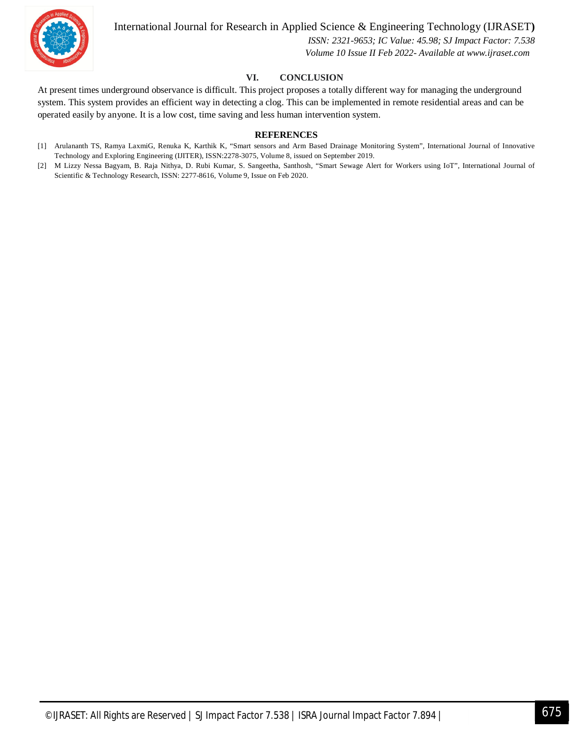

#### International Journal for Research in Applied Science & Engineering Technology (IJRASET**)**

 *ISSN: 2321-9653; IC Value: 45.98; SJ Impact Factor: 7.538 Volume 10 Issue II Feb 2022- Available at www.ijraset.com*

#### **VI. CONCLUSION**

At present times underground observance is difficult. This project proposes a totally different way for managing the underground system. This system provides an efficient way in detecting a clog. This can be implemented in remote residential areas and can be operated easily by anyone. It is a low cost, time saving and less human intervention system.

#### **REFERENCES**

- [1] Arulananth TS, Ramya LaxmiG, Renuka K, Karthik K, "Smart sensors and Arm Based Drainage Monitoring System", International Journal of Innovative Technology and Exploring Engineering (IJITER), ISSN:2278-3075, Volume 8, issued on September 2019.
- [2] M Lizzy Nessa Bagyam, B. Raja Nithya, D. Rubi Kumar, S. Sangeetha, Santhosh, "Smart Sewage Alert for Workers using IoT", International Journal of Scientific & Technology Research, ISSN: 2277-8616, Volume 9, Issue on Feb 2020.